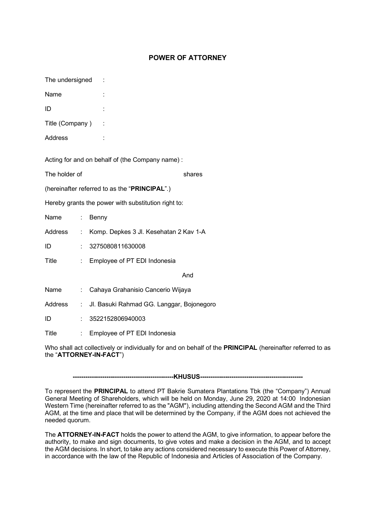## **POWER OF ATTORNEY**

The undersigned :

Name <sup>:</sup>

ID :

Title (Company)

Address :

Acting for and on behalf of (the Company name) :

The holder of **Exercise Shares** shares

(hereinafter referred to as the "**PRINCIPAL**".)

Hereby grants the power with substitution right to:

| Name    | t in | Benny                                               |  |  |
|---------|------|-----------------------------------------------------|--|--|
| Address |      | : Komp. Depkes 3 Jl. Kesehatan 2 Kav 1-A            |  |  |
| ID      | t.   | 3275080811630008                                    |  |  |
| Title   | t in | Employee of PT EDI Indonesia                        |  |  |
|         |      | And                                                 |  |  |
| Name    | t.   | Cahaya Grahanisio Cancerio Wijaya                   |  |  |
|         |      | Address : Jl. Basuki Rahmad GG. Langgar, Bojonegoro |  |  |
| ID      |      | : 3522152806940003                                  |  |  |
| Title   |      | Employee of PT EDI Indonesia                        |  |  |

Who shall act collectively or individually for and on behalf of the **PRINCIPAL** (hereinafter referred to as the "**ATTORNEY-IN-FACT**")

**------------------------------------------------KHUSUS-------------------------------------------------**

To represent the **PRINCIPAL** to attend PT Bakrie Sumatera Plantations Tbk (the "Company") Annual General Meeting of Shareholders, which will be held on Monday, June 29, 2020 at 14:00 Indonesian Western Time (hereinafter referred to as the "AGM"), including attending the Second AGM and the Third AGM, at the time and place that will be determined by the Company, if the AGM does not achieved the needed quorum.

The **ATTORNEY-IN-FACT** holds the power to attend the AGM, to give information, to appear before the authority, to make and sign documents, to give votes and make a decision in the AGM, and to accept the AGM decisions. In short, to take any actions considered necessary to execute this Power of Attorney, in accordance with the law of the Republic of Indonesia and Articles of Association of the Company.